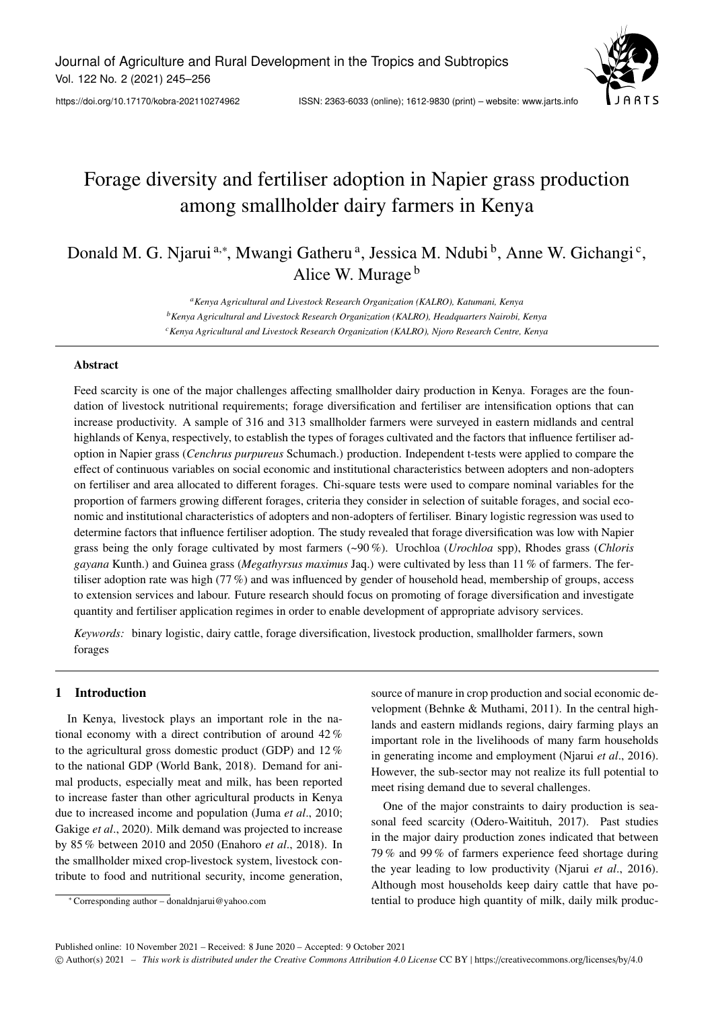

# Forage diversity and fertiliser adoption in Napier grass production among smallholder dairy farmers in Kenya

## Donald M. G. Njarui<sup>a,∗</sup>, Mwangi Gatheru<sup>a</sup>, Jessica M. Ndubi<sup>b</sup>, Anne W. Gichangi<sup>c</sup>, Alice W. Murage <sup>b</sup>

*<sup>a</sup>Kenya Agricultural and Livestock Research Organization (KALRO), Katumani, Kenya <sup>b</sup>Kenya Agricultural and Livestock Research Organization (KALRO), Headquarters Nairobi, Kenya <sup>c</sup>Kenya Agricultural and Livestock Research Organization (KALRO), Njoro Research Centre, Kenya*

#### Abstract

Feed scarcity is one of the major challenges affecting smallholder dairy production in Kenya. Forages are the foundation of livestock nutritional requirements; forage diversification and fertiliser are intensification options that can increase productivity. A sample of 316 and 313 smallholder farmers were surveyed in eastern midlands and central highlands of Kenya, respectively, to establish the types of forages cultivated and the factors that influence fertiliser adoption in Napier grass (*Cenchrus purpureus* Schumach.) production. Independent t-tests were applied to compare the effect of continuous variables on social economic and institutional characteristics between adopters and non-adopters on fertiliser and area allocated to different forages. Chi-square tests were used to compare nominal variables for the proportion of farmers growing different forages, criteria they consider in selection of suitable forages, and social economic and institutional characteristics of adopters and non-adopters of fertiliser. Binary logistic regression was used to determine factors that influence fertiliser adoption. The study revealed that forage diversification was low with Napier grass being the only forage cultivated by most farmers (~90 %). Urochloa (*Urochloa* spp), Rhodes grass (*Chloris gayana* Kunth.) and Guinea grass (*Megathyrsus maximus* Jaq.) were cultivated by less than 11 % of farmers. The fertiliser adoption rate was high (77 %) and was influenced by gender of household head, membership of groups, access to extension services and labour. Future research should focus on promoting of forage diversification and investigate quantity and fertiliser application regimes in order to enable development of appropriate advisory services.

*Keywords:* binary logistic, dairy cattle, forage diversification, livestock production, smallholder farmers, sown forages

## 1 Introduction

In Kenya, livestock plays an important role in the national economy with a direct contribution of around 42 % to the agricultural gross domestic product (GDP) and 12 % to the national GDP (World Bank, 2018). Demand for animal products, especially meat and milk, has been reported to increase faster than other agricultural products in Kenya due to increased income and population (Juma *et al*., 2010; Gakige *et al*., 2020). Milk demand was projected to increase by 85 % between 2010 and 2050 (Enahoro *et al*., 2018). In the smallholder mixed crop-livestock system, livestock contribute to food and nutritional security, income generation,

<sup>∗</sup> Corresponding author – donaldnjarui@yahoo.com

source of manure in crop production and social economic development (Behnke & Muthami, 2011). In the central highlands and eastern midlands regions, dairy farming plays an important role in the livelihoods of many farm households in generating income and employment (Njarui *et al*., 2016). However, the sub-sector may not realize its full potential to meet rising demand due to several challenges.

One of the major constraints to dairy production is seasonal feed scarcity (Odero-Waitituh, 2017). Past studies in the major dairy production zones indicated that between 79 % and 99 % of farmers experience feed shortage during the year leading to low productivity (Njarui *et al*., 2016). Although most households keep dairy cattle that have potential to produce high quantity of milk, daily milk produc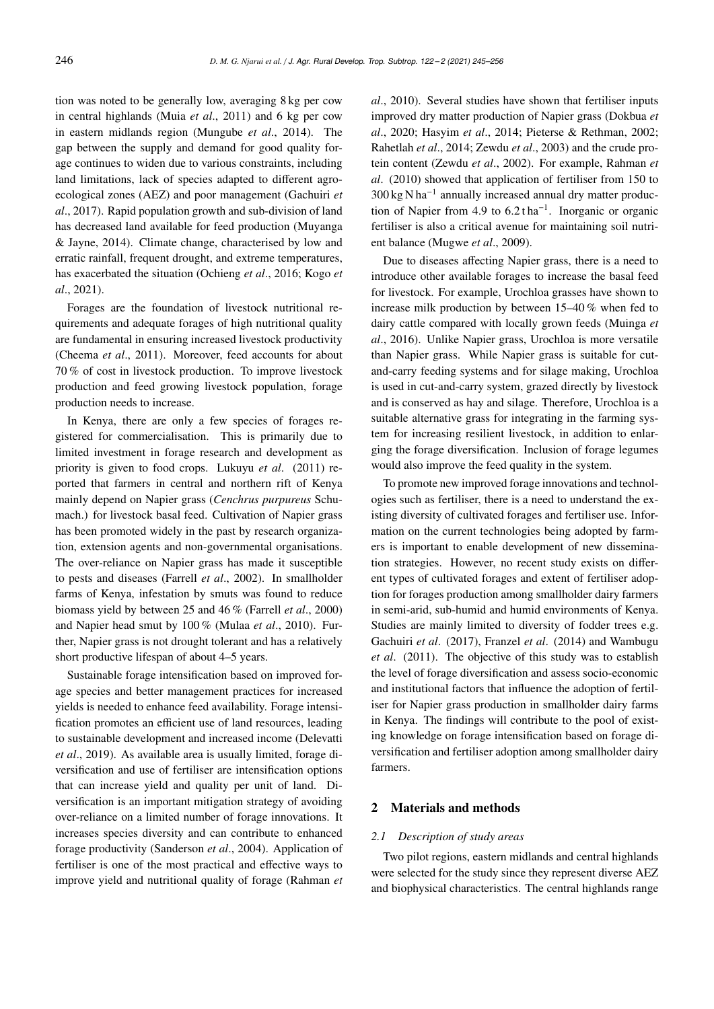tion was noted to be generally low, averaging 8 kg per cow in central highlands (Muia *et al*., 2011) and 6 kg per cow in eastern midlands region (Mungube *et al*., 2014). The gap between the supply and demand for good quality forage continues to widen due to various constraints, including land limitations, lack of species adapted to different agroecological zones (AEZ) and poor management (Gachuiri *et al*., 2017). Rapid population growth and sub-division of land has decreased land available for feed production (Muyanga & Jayne, 2014). Climate change, characterised by low and erratic rainfall, frequent drought, and extreme temperatures, has exacerbated the situation (Ochieng *et al*., 2016; Kogo *et al*., 2021).

Forages are the foundation of livestock nutritional requirements and adequate forages of high nutritional quality are fundamental in ensuring increased livestock productivity (Cheema *et al*., 2011). Moreover, feed accounts for about 70 % of cost in livestock production. To improve livestock production and feed growing livestock population, forage production needs to increase.

In Kenya, there are only a few species of forages registered for commercialisation. This is primarily due to limited investment in forage research and development as priority is given to food crops. Lukuyu *et al*. (2011) reported that farmers in central and northern rift of Kenya mainly depend on Napier grass (*Cenchrus purpureus* Schumach.) for livestock basal feed. Cultivation of Napier grass has been promoted widely in the past by research organization, extension agents and non-governmental organisations. The over-reliance on Napier grass has made it susceptible to pests and diseases (Farrell *et al*., 2002). In smallholder farms of Kenya, infestation by smuts was found to reduce biomass yield by between 25 and 46 % (Farrell *et al*., 2000) and Napier head smut by 100 % (Mulaa *et al*., 2010). Further, Napier grass is not drought tolerant and has a relatively short productive lifespan of about 4–5 years.

Sustainable forage intensification based on improved forage species and better management practices for increased yields is needed to enhance feed availability. Forage intensification promotes an efficient use of land resources, leading to sustainable development and increased income (Delevatti *et al*., 2019). As available area is usually limited, forage diversification and use of fertiliser are intensification options that can increase yield and quality per unit of land. Diversification is an important mitigation strategy of avoiding over-reliance on a limited number of forage innovations. It increases species diversity and can contribute to enhanced forage productivity (Sanderson *et al*., 2004). Application of fertiliser is one of the most practical and effective ways to improve yield and nutritional quality of forage (Rahman *et*

*al*., 2010). Several studies have shown that fertiliser inputs improved dry matter production of Napier grass (Dokbua *et al*., 2020; Hasyim *et al*., 2014; Pieterse & Rethman, 2002; Rahetlah *et al*., 2014; Zewdu *et al*., 2003) and the crude protein content (Zewdu *et al*., 2002). For example, Rahman *et al*. (2010) showed that application of fertiliser from 150 to 300 kg N ha<sup>-1</sup> annually increased annual dry matter production of Napier from 4.9 to  $6.2 \text{ tha}^{-1}$ . Inorganic or organic fertiliser is also a critical avenue for maintaining soil nutrient balance (Mugwe *et al*., 2009).

Due to diseases affecting Napier grass, there is a need to introduce other available forages to increase the basal feed for livestock. For example, Urochloa grasses have shown to increase milk production by between 15–40 % when fed to dairy cattle compared with locally grown feeds (Muinga *et al*., 2016). Unlike Napier grass, Urochloa is more versatile than Napier grass. While Napier grass is suitable for cutand-carry feeding systems and for silage making, Urochloa is used in cut-and-carry system, grazed directly by livestock and is conserved as hay and silage. Therefore, Urochloa is a suitable alternative grass for integrating in the farming system for increasing resilient livestock, in addition to enlarging the forage diversification. Inclusion of forage legumes would also improve the feed quality in the system.

To promote new improved forage innovations and technologies such as fertiliser, there is a need to understand the existing diversity of cultivated forages and fertiliser use. Information on the current technologies being adopted by farmers is important to enable development of new dissemination strategies. However, no recent study exists on different types of cultivated forages and extent of fertiliser adoption for forages production among smallholder dairy farmers in semi-arid, sub-humid and humid environments of Kenya. Studies are mainly limited to diversity of fodder trees e.g. Gachuiri *et al*. (2017), Franzel *et al*. (2014) and Wambugu *et al*. (2011). The objective of this study was to establish the level of forage diversification and assess socio-economic and institutional factors that influence the adoption of fertiliser for Napier grass production in smallholder dairy farms in Kenya. The findings will contribute to the pool of existing knowledge on forage intensification based on forage diversification and fertiliser adoption among smallholder dairy farmers.

## 2 Materials and methods

#### *2.1 Description of study areas*

Two pilot regions, eastern midlands and central highlands were selected for the study since they represent diverse AEZ and biophysical characteristics. The central highlands range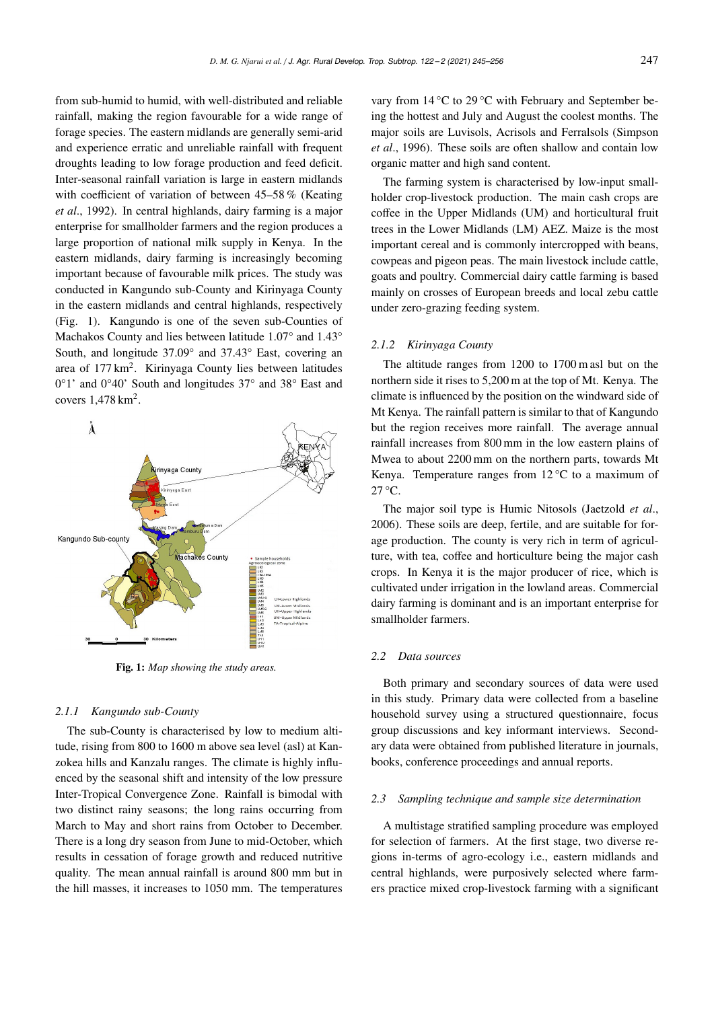from sub-humid to humid, with well-distributed and reliable rainfall, making the region favourable for a wide range of forage species. The eastern midlands are generally semi-arid and experience erratic and unreliable rainfall with frequent droughts leading to low forage production and feed deficit. Inter-seasonal rainfall variation is large in eastern midlands with coefficient of variation of between 45–58 % (Keating *et al*., 1992). In central highlands, dairy farming is a major enterprise for smallholder farmers and the region produces a large proportion of national milk supply in Kenya. In the eastern midlands, dairy farming is increasingly becoming important because of favourable milk prices. The study was conducted in Kangundo sub-County and Kirinyaga County in the eastern midlands and central highlands, respectively (Fig. 1). Kangundo is one of the seven sub-Counties of Machakos County and lies between latitude 1.07° and 1.43° South, and longitude 37.09° and 37.43° East, covering an area of 177 km<sup>2</sup>. Kirinyaga County lies between latitudes 0°1' and 0°40' South and longitudes 37° and 38° East and covers  $1,478$  km<sup>2</sup>.



Fig. 1: *Map showing the study areas.*

#### *2.1.1 Kangundo sub-County*

The sub-County is characterised by low to medium altitude, rising from 800 to 1600 m above sea level (asl) at Kanzokea hills and Kanzalu ranges. The climate is highly influenced by the seasonal shift and intensity of the low pressure Inter-Tropical Convergence Zone. Rainfall is bimodal with two distinct rainy seasons; the long rains occurring from March to May and short rains from October to December. There is a long dry season from June to mid-October, which results in cessation of forage growth and reduced nutritive quality. The mean annual rainfall is around 800 mm but in the hill masses, it increases to 1050 mm. The temperatures

vary from 14 °C to 29 °C with February and September being the hottest and July and August the coolest months. The major soils are Luvisols, Acrisols and Ferralsols (Simpson *et al*., 1996). These soils are often shallow and contain low organic matter and high sand content.

The farming system is characterised by low-input smallholder crop-livestock production. The main cash crops are coffee in the Upper Midlands (UM) and horticultural fruit trees in the Lower Midlands (LM) AEZ. Maize is the most important cereal and is commonly intercropped with beans, cowpeas and pigeon peas. The main livestock include cattle, goats and poultry. Commercial dairy cattle farming is based mainly on crosses of European breeds and local zebu cattle under zero-grazing feeding system.

## *2.1.2 Kirinyaga County*

The altitude ranges from 1200 to 1700 m asl but on the northern side it rises to 5,200 m at the top of Mt. Kenya. The climate is influenced by the position on the windward side of Mt Kenya. The rainfall pattern is similar to that of Kangundo but the region receives more rainfall. The average annual rainfall increases from 800 mm in the low eastern plains of Mwea to about 2200 mm on the northern parts, towards Mt Kenya. Temperature ranges from  $12^{\circ}$ C to a maximum of 27 °C.

The major soil type is Humic Nitosols (Jaetzold *et al*., 2006). These soils are deep, fertile, and are suitable for forage production. The county is very rich in term of agriculture, with tea, coffee and horticulture being the major cash crops. In Kenya it is the major producer of rice, which is cultivated under irrigation in the lowland areas. Commercial dairy farming is dominant and is an important enterprise for smallholder farmers.

## *2.2 Data sources*

Both primary and secondary sources of data were used in this study. Primary data were collected from a baseline household survey using a structured questionnaire, focus group discussions and key informant interviews. Secondary data were obtained from published literature in journals, books, conference proceedings and annual reports.

#### *2.3 Sampling technique and sample size determination*

A multistage stratified sampling procedure was employed for selection of farmers. At the first stage, two diverse regions in-terms of agro-ecology i.e., eastern midlands and central highlands, were purposively selected where farmers practice mixed crop-livestock farming with a significant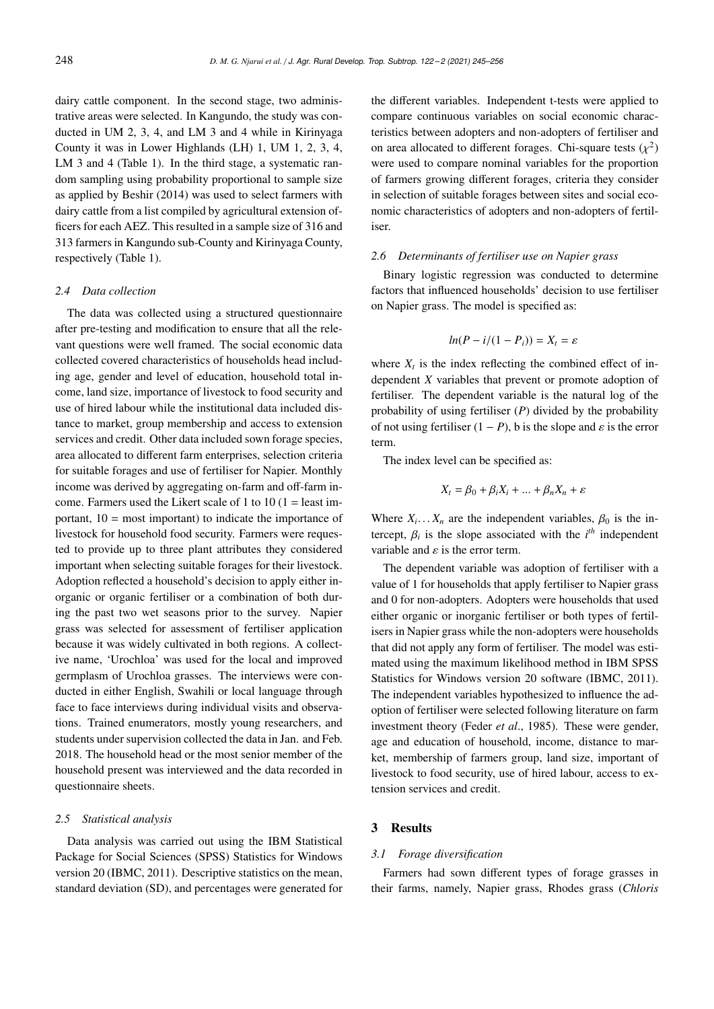dairy cattle component. In the second stage, two administrative areas were selected. In Kangundo, the study was conducted in UM 2, 3, 4, and LM 3 and 4 while in Kirinyaga County it was in Lower Highlands (LH) 1, UM 1, 2, 3, 4, LM 3 and 4 (Table 1). In the third stage, a systematic random sampling using probability proportional to sample size as applied by Beshir (2014) was used to select farmers with dairy cattle from a list compiled by agricultural extension officers for each AEZ. This resulted in a sample size of 316 and 313 farmers in Kangundo sub-County and Kirinyaga County, respectively (Table 1).

## *2.4 Data collection*

The data was collected using a structured questionnaire after pre-testing and modification to ensure that all the relevant questions were well framed. The social economic data collected covered characteristics of households head including age, gender and level of education, household total income, land size, importance of livestock to food security and use of hired labour while the institutional data included distance to market, group membership and access to extension services and credit. Other data included sown forage species, area allocated to different farm enterprises, selection criteria for suitable forages and use of fertiliser for Napier. Monthly income was derived by aggregating on-farm and off-farm income. Farmers used the Likert scale of 1 to 10 (1 = least important,  $10 = \text{most important}$  to indicate the importance of livestock for household food security. Farmers were requested to provide up to three plant attributes they considered important when selecting suitable forages for their livestock. Adoption reflected a household's decision to apply either inorganic or organic fertiliser or a combination of both during the past two wet seasons prior to the survey. Napier grass was selected for assessment of fertiliser application because it was widely cultivated in both regions. A collective name, 'Urochloa' was used for the local and improved germplasm of Urochloa grasses. The interviews were conducted in either English, Swahili or local language through face to face interviews during individual visits and observations. Trained enumerators, mostly young researchers, and students under supervision collected the data in Jan. and Feb. 2018. The household head or the most senior member of the household present was interviewed and the data recorded in questionnaire sheets.

#### *2.5 Statistical analysis*

Data analysis was carried out using the IBM Statistical Package for Social Sciences (SPSS) Statistics for Windows version 20 (IBMC, 2011). Descriptive statistics on the mean, standard deviation (SD), and percentages were generated for

the different variables. Independent t-tests were applied to compare continuous variables on social economic characteristics between adopters and non-adopters of fertiliser and on area allocated to different forages. Chi-square tests  $(\chi^2)$ <br>were used to compare pominal variables for the proportion were used to compare nominal variables for the proportion of farmers growing different forages, criteria they consider in selection of suitable forages between sites and social economic characteristics of adopters and non-adopters of fertiliser.

#### *2.6 Determinants of fertiliser use on Napier grass*

Binary logistic regression was conducted to determine factors that influenced households' decision to use fertiliser on Napier grass. The model is specified as:

$$
ln(P - i/(1 - P_i)) = X_t = \varepsilon
$$

where  $X_t$  is the index reflecting the combined effect of independent *X* variables that prevent or promote adoption of fertiliser. The dependent variable is the natural log of the probability of using fertiliser (*P*) divided by the probability of not using fertiliser  $(1 - P)$ , b is the slope and  $\varepsilon$  is the error term.

The index level can be specified as:

$$
X_t = \beta_0 + \beta_i X_i + \dots + \beta_n X_n + \varepsilon
$$

Where  $X_i$ ... $X_n$  are the independent variables,  $\beta_0$  is the in-<br>tereort  $\beta$  is the clone associated with the *ill* independent tercept,  $\beta_i$  is the slope associated with the *i*<sup>th</sup> independent<br>veriable and c is the error term variable and  $\varepsilon$  is the error term.

The dependent variable was adoption of fertiliser with a value of 1 for households that apply fertiliser to Napier grass and 0 for non-adopters. Adopters were households that used either organic or inorganic fertiliser or both types of fertilisers in Napier grass while the non-adopters were households that did not apply any form of fertiliser. The model was estimated using the maximum likelihood method in IBM SPSS Statistics for Windows version 20 software (IBMC, 2011). The independent variables hypothesized to influence the adoption of fertiliser were selected following literature on farm investment theory (Feder *et al*., 1985). These were gender, age and education of household, income, distance to market, membership of farmers group, land size, important of livestock to food security, use of hired labour, access to extension services and credit.

#### 3 Results

#### *3.1 Forage diversification*

Farmers had sown different types of forage grasses in their farms, namely, Napier grass, Rhodes grass (*Chloris*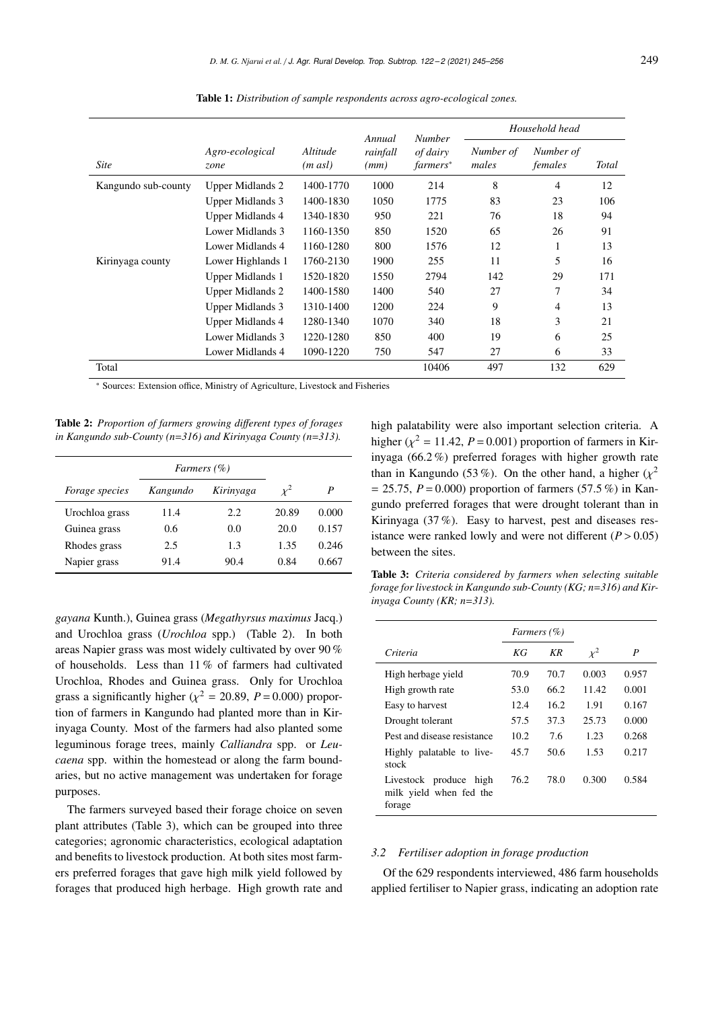|                     |                         |                                 | Annual           | <b>Number</b>        | Household head     |                      |              |  |
|---------------------|-------------------------|---------------------------------|------------------|----------------------|--------------------|----------------------|--------------|--|
| <b>Site</b>         | Agro-ecological<br>zone | <i>Altitude</i><br>$(m \, asl)$ | rainfall<br>(mm) | of dairy<br>farmers* | Number of<br>males | Number of<br>females | <b>Total</b> |  |
| Kangundo sub-county | Upper Midlands 2        | 1400-1770                       | 1000             | 214                  | 8                  | 4                    | 12           |  |
|                     | Upper Midlands 3        | 1400-1830                       | 1050             | 1775                 | 83                 | 23                   | 106          |  |
|                     | <b>Upper Midlands 4</b> | 1340-1830                       | 950              | 221                  | 76                 | 18                   | 94           |  |
|                     | Lower Midlands 3        | 1160-1350                       | 850              | 1520                 | 65                 | 26                   | 91           |  |
|                     | Lower Midlands 4        | 1160-1280                       | 800              | 1576                 | 12                 | л.                   | 13           |  |
| Kirinyaga county    | Lower Highlands 1       | 1760-2130                       | 1900             | 255                  | 11                 | 5                    | 16           |  |
|                     | Upper Midlands 1        | 1520-1820                       | 1550             | 2794                 | 142                | 29                   | 171          |  |
|                     | <b>Upper Midlands 2</b> | 1400-1580                       | 1400             | 540                  | 27                 | 7                    | 34           |  |
|                     | <b>Upper Midlands 3</b> | 1310-1400                       | 1200             | 224                  | 9                  | 4                    | 13           |  |
|                     | Upper Midlands 4        | 1280-1340                       | 1070             | 340                  | 18                 | 3                    | 21           |  |
|                     | Lower Midlands 3        | 1220-1280                       | 850              | 400                  | 19                 | 6                    | 25           |  |
|                     | Lower Midlands 4        | 1090-1220                       | 750              | 547                  | 27                 | 6                    | 33           |  |
| Total               |                         |                                 |                  | 10406                | 497                | 132                  | 629          |  |

Table 1: *Distribution of sample respondents across agro-ecological zones.*

\* Sources: Extension office, Ministry of Agriculture, Livestock and Fisheries

Table 2: *Proportion of farmers growing di*ff*erent types of forages in Kangundo sub-County (n*=*316) and Kirinyaga County (n*=*313).*

|                       | <i>Farmers</i> (%) |           |          |       |
|-----------------------|--------------------|-----------|----------|-------|
| <i>Forage species</i> | Kangundo           | Kirinyaga | $\chi^2$ | P     |
| Urochloa grass        | 11.4               | 2.2       | 20.89    | 0.000 |
| Guinea grass          | 0.6                | 0.0       | 20.0     | 0.157 |
| Rhodes grass          | 2.5                | 1.3       | 1.35     | 0.246 |
| Napier grass          | 91.4               | 90.4      | 0.84     | 0.667 |

*gayana* Kunth.), Guinea grass (*Megathyrsus maximus* Jacq.) and Urochloa grass (*Urochloa* spp.) (Table 2). In both areas Napier grass was most widely cultivated by over 90 % of households. Less than 11 % of farmers had cultivated Urochloa, Rhodes and Guinea grass. Only for Urochloa grass a significantly higher ( $\chi^2 = 20.89$ ,  $P = 0.000$ ) propor-<br>tion of formors in Kongundo had planted more than in Kir. tion of farmers in Kangundo had planted more than in Kirinyaga County. Most of the farmers had also planted some leguminous forage trees, mainly *Calliandra* spp. or *Leucaena* spp. within the homestead or along the farm boundaries, but no active management was undertaken for forage purposes.

The farmers surveyed based their forage choice on seven plant attributes (Table 3), which can be grouped into three categories; agronomic characteristics, ecological adaptation and benefits to livestock production. At both sites most farmers preferred forages that gave high milk yield followed by forages that produced high herbage. High growth rate and high palatability were also important selection criteria. A higher  $(\chi^2 = 11.42, P = 0.001)$  proportion of farmers in Kir-<br>invege (66.2%) professed for see with higher growth rate inyaga (66.2 %) preferred forages with higher growth rate than in Kangundo (53 %). On the other hand, a higher  $(\chi^2 - 25.75 \text{ P} - 0.000)$  proportion of formors (57.5 %) in Ken  $= 25.75, P = 0.000$  proportion of farmers (57.5 %) in Kangundo preferred forages that were drought tolerant than in Kirinyaga (37 %). Easy to harvest, pest and diseases resistance were ranked lowly and were not different  $(P > 0.05)$ between the sites.

Table 3: *Criteria considered by farmers when selecting suitable forage for livestock in Kangundo sub-County (KG; n*=*316) and Kirinyaga County (KR; n*=*313).*

|                                                             |       | Farmers (%) |          |       |
|-------------------------------------------------------------|-------|-------------|----------|-------|
| Criteria                                                    | КG    | KR          | $\chi^2$ | P     |
| High herbage yield                                          | 70.9  | 70.7        | 0.003    | 0.957 |
| High growth rate                                            | 53.0  | 66.2        | 11.42    | 0.001 |
| Easy to harvest                                             | 12.4  | 16.2        | 1.91     | 0.167 |
| Drought tolerant                                            | 57.5  | 37.3        | 25.73    | 0.000 |
| Pest and disease resistance                                 | 10.2. | 7.6         | 1.23     | 0.268 |
| Highly palatable to live-<br>stock                          | 45.7  | 50.6        | 1.53     | 0.217 |
| Livestock produce high<br>milk yield when fed the<br>forage | 76.2  | 78.0        | 0.300    | 0.584 |

#### *3.2 Fertiliser adoption in forage production*

Of the 629 respondents interviewed, 486 farm households applied fertiliser to Napier grass, indicating an adoption rate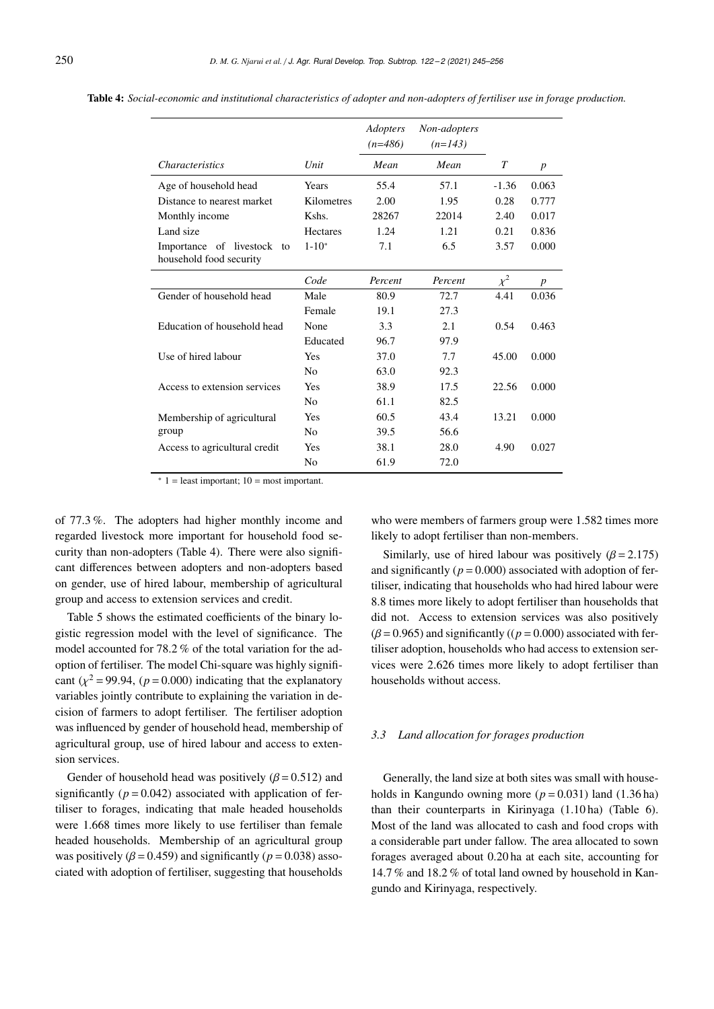|                               |                 | Adopters<br>$(n=486)$ | Non-adopters<br>$(n=143)$ |          |                  |
|-------------------------------|-----------------|-----------------------|---------------------------|----------|------------------|
| <i>Characteristics</i>        | Unit            | Mean                  | Mean                      | T        | $\boldsymbol{p}$ |
| Age of household head         | Years           | 55.4                  | 57.1                      | $-1.36$  | 0.063            |
| Distance to nearest market    | Kilometres      | 2.00                  | 1.95                      | 0.28     | 0.777            |
| Monthly income                | Kshs.           | 28267                 | 22014                     | 2.40     | 0.017            |
| Land size                     | <b>Hectares</b> | 1.24                  | 1.21                      | 0.21     | 0.836            |
| Importance of livestock<br>to | $1 - 10^*$      | 7.1                   | 6.5                       | 3.57     | 0.000            |
| household food security       |                 |                       |                           |          |                  |
|                               | Code            | Percent               | Percent                   | $\chi^2$ | $\boldsymbol{p}$ |
| Gender of household head      | Male            | 80.9                  | 72.7                      | 4.41     | 0.036            |
|                               | Female          | 19.1                  | 27.3                      |          |                  |
| Education of household head   | None            | 3.3                   | 2.1                       | 0.54     | 0.463            |
|                               | Educated        | 96.7                  | 97.9                      |          |                  |
| Use of hired labour           | Yes             | 37.0                  | 7.7                       | 45.00    | 0.000            |
|                               | N <sub>0</sub>  | 63.0                  | 92.3                      |          |                  |
| Access to extension services  | <b>Yes</b>      | 38.9                  | 17.5                      | 22.56    | 0.000            |
|                               | N <sub>0</sub>  | 61.1                  | 82.5                      |          |                  |
| Membership of agricultural    | Yes             | 60.5                  | 43.4                      | 13.21    | 0.000            |
| group                         | N <sub>0</sub>  | 39.5                  | 56.6                      |          |                  |
| Access to agricultural credit | Yes             | 38.1                  | 28.0                      | 4.90     | 0.027            |
|                               | No              | 61.9                  | 72.0                      |          |                  |

Table 4: *Social-economic and institutional characteristics of adopter and non-adopters of fertiliser use in forage production.*

 $* 1 =$  least important;  $10 =$  most important.

of 77.3 %. The adopters had higher monthly income and regarded livestock more important for household food security than non-adopters (Table 4). There were also significant differences between adopters and non-adopters based on gender, use of hired labour, membership of agricultural group and access to extension services and credit.

Table 5 shows the estimated coefficients of the binary logistic regression model with the level of significance. The model accounted for 78.2 % of the total variation for the adoption of fertiliser. The model Chi-square was highly significant  $(\chi^2 = 99.94, (p = 0.000)$  indicating that the explanatory variables jointly contribute to explaining the variation in decision of farmers to adopt fertiliser. The fertiliser adoption was influenced by gender of household head, membership of agricultural group, use of hired labour and access to extension services.

Gender of household head was positively  $(\beta = 0.512)$  and significantly  $(p = 0.042)$  associated with application of fertiliser to forages, indicating that male headed households were 1.668 times more likely to use fertiliser than female headed households. Membership of an agricultural group was positively ( $\beta$  = 0.459) and significantly ( $p$  = 0.038) associated with adoption of fertiliser, suggesting that households

who were members of farmers group were 1.582 times more likely to adopt fertiliser than non-members.

Similarly, use of hired labour was positively  $(\beta = 2.175)$ and significantly ( $p = 0.000$ ) associated with adoption of fertiliser, indicating that households who had hired labour were 8.8 times more likely to adopt fertiliser than households that did not. Access to extension services was also positively  $(\beta = 0.965)$  and significantly ( $(p = 0.000)$  associated with fertiliser adoption, households who had access to extension services were 2.626 times more likely to adopt fertiliser than households without access.

#### *3.3 Land allocation for forages production*

Generally, the land size at both sites was small with households in Kangundo owning more ( $p = 0.031$ ) land (1.36 ha) than their counterparts in Kirinyaga (1.10 ha) (Table 6). Most of the land was allocated to cash and food crops with a considerable part under fallow. The area allocated to sown forages averaged about 0.20 ha at each site, accounting for 14.7 % and 18.2 % of total land owned by household in Kangundo and Kirinyaga, respectively.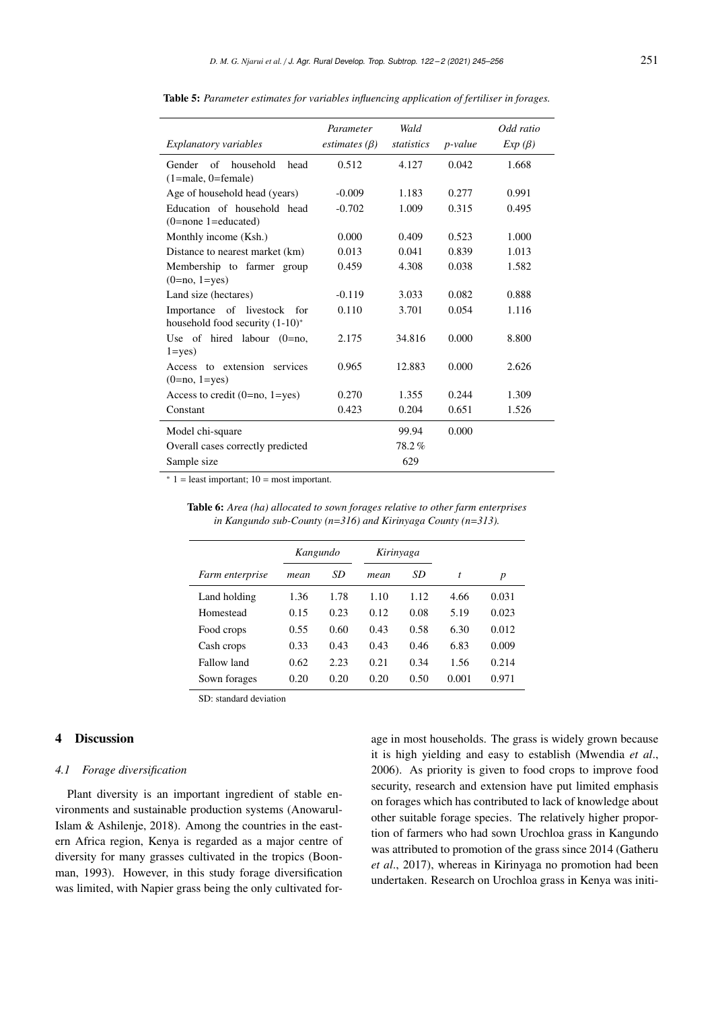| <i>Explanatory variables</i>       | Parameter<br>estimates $(\beta)$ | Wald<br>statistics | <i>p</i> -value | Odd ratio<br>$Exp(\beta)$ |
|------------------------------------|----------------------------------|--------------------|-----------------|---------------------------|
| Gender<br>of<br>household<br>head  | 0.512                            | 4.127              | 0.042           | 1.668                     |
| $(1 = male, 0 = female)$           |                                  |                    |                 |                           |
| Age of household head (years)      | $-0.009$                         | 1.183              | 0.277           | 0.991                     |
| Education of household head        | $-0.702$                         | 1.009              | 0.315           | 0.495                     |
| $(0=none 1=educated)$              |                                  |                    |                 |                           |
| Monthly income (Ksh.)              | 0.000                            | 0.409              | 0.523           | 1.000                     |
| Distance to nearest market (km)    | 0.013                            | 0.041              | 0.839           | 1.013                     |
| Membership to farmer group         | 0.459                            | 4.308              | 0.038           | 1.582                     |
| $(0=no, 1=yes)$                    |                                  |                    |                 |                           |
| Land size (hectares)               | $-0.119$                         | 3.033              | 0.082           | 0.888                     |
| Importance of livestock for        | 0.110                            | 3.701              | 0.054           | 1.116                     |
| household food security $(1-10)^*$ |                                  |                    |                 |                           |
| Use of hired labour $(0=no,$       | 2.175                            | 34.816             | 0.000           | 8.800                     |
| $1 = yes$                          |                                  |                    |                 |                           |
| Access to extension<br>services    | 0.965                            | 12.883             | 0.000           | 2.626                     |
| $(0=no, 1=yes)$                    |                                  |                    |                 |                           |
| Access to credit $(0=no, 1=yes)$   | 0.270                            | 1.355              | 0.244           | 1.309                     |
| Constant                           | 0.423                            | 0.204              | 0.651           | 1.526                     |
| Model chi-square                   |                                  | 99.94              | 0.000           |                           |
| Overall cases correctly predicted  |                                  | 78.2%              |                 |                           |
| Sample size                        |                                  | 629                |                 |                           |

Table 5: *Parameter estimates for variables influencing application of fertiliser in forages.*

 $* 1 =$  least important;  $10 =$  most important.

|  |  |  | <b>Table 6:</b> Area (ha) allocated to sown forages relative to other farm enterprises |  |
|--|--|--|----------------------------------------------------------------------------------------|--|
|  |  |  | in Kangundo sub-County ( $n=316$ ) and Kirinyaga County ( $n=313$ ).                   |  |

|                        | Kangundo |      |      | Kirinyaga |       |       |
|------------------------|----------|------|------|-----------|-------|-------|
| <i>Farm enterprise</i> | mean     | SD   | mean | SD        | t     | p     |
| Land holding           | 1.36     | 1.78 | 1.10 | 1.12      | 4.66  | 0.031 |
| Homestead              | 0.15     | 0.23 | 0.12 | 0.08      | 5.19  | 0.023 |
| Food crops             | 0.55     | 0.60 | 0.43 | 0.58      | 6.30  | 0.012 |
| Cash crops             | 0.33     | 0.43 | 0.43 | 0.46      | 6.83  | 0.009 |
| Fallow land            | 0.62     | 2.23 | 0.21 | 0.34      | 1.56  | 0.214 |
| Sown forages           | 0.20     | 0.20 | 0.20 | 0.50      | 0.001 | 0.971 |

SD: standard deviation

## 4 Discussion

## *4.1 Forage diversification*

Plant diversity is an important ingredient of stable environments and sustainable production systems (Anowarul-Islam & Ashilenje, 2018). Among the countries in the eastern Africa region, Kenya is regarded as a major centre of diversity for many grasses cultivated in the tropics (Boonman, 1993). However, in this study forage diversification was limited, with Napier grass being the only cultivated for-

age in most households. The grass is widely grown because it is high yielding and easy to establish (Mwendia *et al*., 2006). As priority is given to food crops to improve food security, research and extension have put limited emphasis on forages which has contributed to lack of knowledge about other suitable forage species. The relatively higher proportion of farmers who had sown Urochloa grass in Kangundo was attributed to promotion of the grass since 2014 (Gatheru *et al*., 2017), whereas in Kirinyaga no promotion had been undertaken. Research on Urochloa grass in Kenya was initi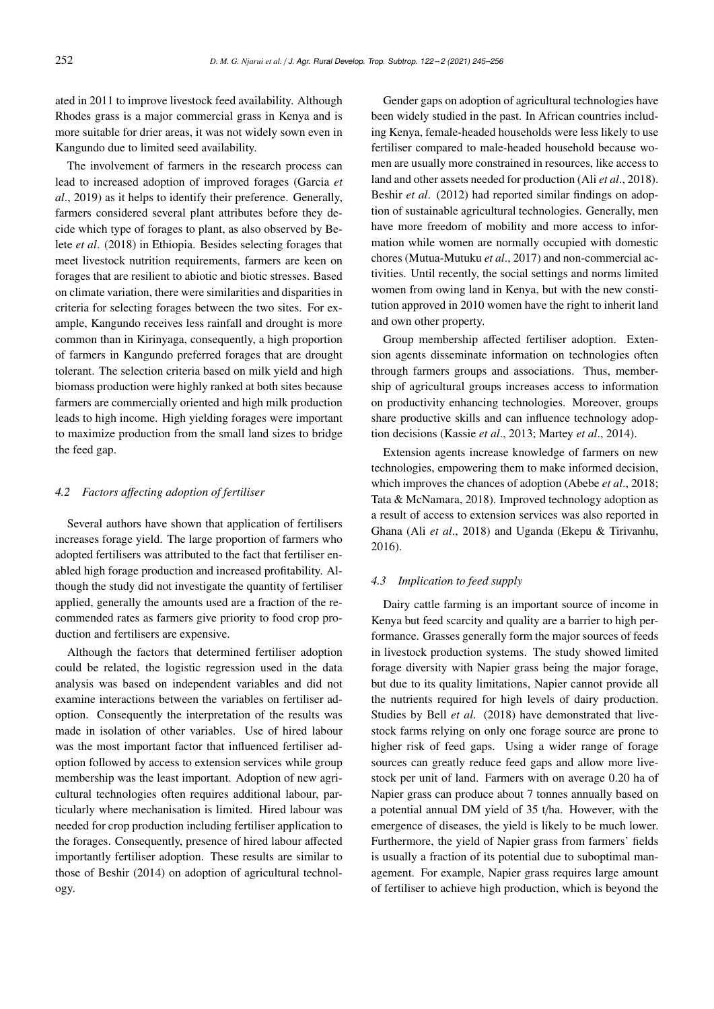ated in 2011 to improve livestock feed availability. Although Rhodes grass is a major commercial grass in Kenya and is more suitable for drier areas, it was not widely sown even in Kangundo due to limited seed availability.

The involvement of farmers in the research process can lead to increased adoption of improved forages (Garcia *et al*., 2019) as it helps to identify their preference. Generally, farmers considered several plant attributes before they decide which type of forages to plant, as also observed by Belete *et al*. (2018) in Ethiopia. Besides selecting forages that meet livestock nutrition requirements, farmers are keen on forages that are resilient to abiotic and biotic stresses. Based on climate variation, there were similarities and disparities in criteria for selecting forages between the two sites. For example, Kangundo receives less rainfall and drought is more common than in Kirinyaga, consequently, a high proportion of farmers in Kangundo preferred forages that are drought tolerant. The selection criteria based on milk yield and high biomass production were highly ranked at both sites because farmers are commercially oriented and high milk production leads to high income. High yielding forages were important to maximize production from the small land sizes to bridge the feed gap.

## *4.2 Factors a*ff*ecting adoption of fertiliser*

Several authors have shown that application of fertilisers increases forage yield. The large proportion of farmers who adopted fertilisers was attributed to the fact that fertiliser enabled high forage production and increased profitability. Although the study did not investigate the quantity of fertiliser applied, generally the amounts used are a fraction of the recommended rates as farmers give priority to food crop production and fertilisers are expensive.

Although the factors that determined fertiliser adoption could be related, the logistic regression used in the data analysis was based on independent variables and did not examine interactions between the variables on fertiliser adoption. Consequently the interpretation of the results was made in isolation of other variables. Use of hired labour was the most important factor that influenced fertiliser adoption followed by access to extension services while group membership was the least important. Adoption of new agricultural technologies often requires additional labour, particularly where mechanisation is limited. Hired labour was needed for crop production including fertiliser application to the forages. Consequently, presence of hired labour affected importantly fertiliser adoption. These results are similar to those of Beshir (2014) on adoption of agricultural technology.

Gender gaps on adoption of agricultural technologies have been widely studied in the past. In African countries including Kenya, female-headed households were less likely to use fertiliser compared to male-headed household because women are usually more constrained in resources, like access to land and other assets needed for production (Ali *et al*., 2018). Beshir *et al*. (2012) had reported similar findings on adoption of sustainable agricultural technologies. Generally, men have more freedom of mobility and more access to information while women are normally occupied with domestic chores (Mutua-Mutuku *et al*., 2017) and non-commercial activities. Until recently, the social settings and norms limited women from owing land in Kenya, but with the new constitution approved in 2010 women have the right to inherit land and own other property.

Group membership affected fertiliser adoption. Extension agents disseminate information on technologies often through farmers groups and associations. Thus, membership of agricultural groups increases access to information on productivity enhancing technologies. Moreover, groups share productive skills and can influence technology adoption decisions (Kassie *et al*., 2013; Martey *et al*., 2014).

Extension agents increase knowledge of farmers on new technologies, empowering them to make informed decision, which improves the chances of adoption (Abebe *et al*., 2018; Tata & McNamara, 2018). Improved technology adoption as a result of access to extension services was also reported in Ghana (Ali *et al*., 2018) and Uganda (Ekepu & Tirivanhu, 2016).

## *4.3 Implication to feed supply*

Dairy cattle farming is an important source of income in Kenya but feed scarcity and quality are a barrier to high performance. Grasses generally form the major sources of feeds in livestock production systems. The study showed limited forage diversity with Napier grass being the major forage, but due to its quality limitations, Napier cannot provide all the nutrients required for high levels of dairy production. Studies by Bell *et al*. (2018) have demonstrated that livestock farms relying on only one forage source are prone to higher risk of feed gaps. Using a wider range of forage sources can greatly reduce feed gaps and allow more livestock per unit of land. Farmers with on average 0.20 ha of Napier grass can produce about 7 tonnes annually based on a potential annual DM yield of 35 t/ha. However, with the emergence of diseases, the yield is likely to be much lower. Furthermore, the yield of Napier grass from farmers' fields is usually a fraction of its potential due to suboptimal management. For example, Napier grass requires large amount of fertiliser to achieve high production, which is beyond the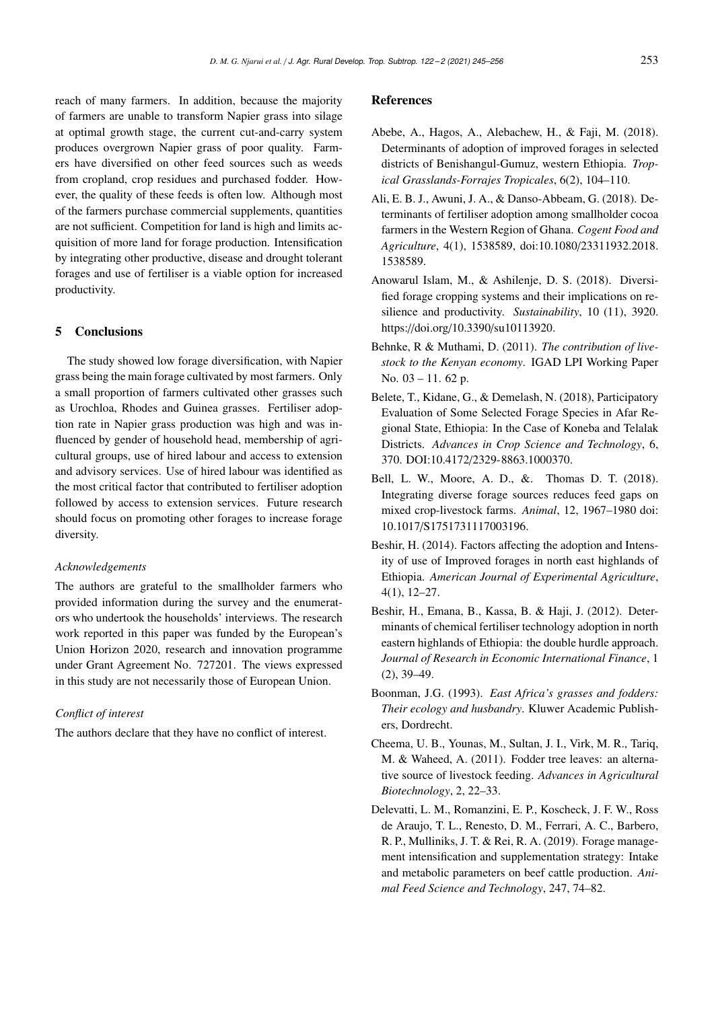reach of many farmers. In addition, because the majority of farmers are unable to transform Napier grass into silage at optimal growth stage, the current cut-and-carry system produces overgrown Napier grass of poor quality. Farmers have diversified on other feed sources such as weeds from cropland, crop residues and purchased fodder. However, the quality of these feeds is often low. Although most of the farmers purchase commercial supplements, quantities are not sufficient. Competition for land is high and limits acquisition of more land for forage production. Intensification by integrating other productive, disease and drought tolerant forages and use of fertiliser is a viable option for increased productivity.

#### 5 Conclusions

The study showed low forage diversification, with Napier grass being the main forage cultivated by most farmers. Only a small proportion of farmers cultivated other grasses such as Urochloa, Rhodes and Guinea grasses. Fertiliser adoption rate in Napier grass production was high and was influenced by gender of household head, membership of agricultural groups, use of hired labour and access to extension and advisory services. Use of hired labour was identified as the most critical factor that contributed to fertiliser adoption followed by access to extension services. Future research should focus on promoting other forages to increase forage diversity.

#### *Acknowledgements*

The authors are grateful to the smallholder farmers who provided information during the survey and the enumerators who undertook the households' interviews. The research work reported in this paper was funded by the European's Union Horizon 2020, research and innovation programme under Grant Agreement No. 727201. The views expressed in this study are not necessarily those of European Union.

## *Conflict of interest*

The authors declare that they have no conflict of interest.

#### **References**

- Abebe, A., Hagos, A., Alebachew, H., & Faji, M. (2018). Determinants of adoption of improved forages in selected districts of Benishangul-Gumuz, western Ethiopia. *Tropical Grasslands-Forrajes Tropicales*, 6(2), 104–110.
- Ali, E. B. J., Awuni, J. A., & Danso-Abbeam, G. (2018). Determinants of fertiliser adoption among smallholder cocoa farmers in the Western Region of Ghana. *Cogent Food and Agriculture*, 4(1), 1538589, doi:10.1080/23311932.2018. 1538589.
- Anowarul Islam, M., & Ashilenje, D. S. (2018). Diversified forage cropping systems and their implications on resilience and productivity. *Sustainability*, 10 (11), 3920. https://doi.org/10.3390/su10113920.
- Behnke, R & Muthami, D. (2011). *The contribution of livestock to the Kenyan economy*. IGAD LPI Working Paper No. 03 – 11. 62 p.
- Belete, T., Kidane, G., & Demelash, N. (2018), Participatory Evaluation of Some Selected Forage Species in Afar Regional State, Ethiopia: In the Case of Koneba and Telalak Districts. *Advances in Crop Science and Technology*, 6, 370. DOI:10.4172/2329-8863.1000370.
- Bell, L. W., Moore, A. D., &. Thomas D. T. (2018). Integrating diverse forage sources reduces feed gaps on mixed crop-livestock farms. *Animal*, 12, 1967–1980 doi: 10.1017/S1751731117003196.
- Beshir, H. (2014). Factors affecting the adoption and Intensity of use of Improved forages in north east highlands of Ethiopia. *American Journal of Experimental Agriculture*, 4(1), 12–27.
- Beshir, H., Emana, B., Kassa, B. & Haji, J. (2012). Determinants of chemical fertiliser technology adoption in north eastern highlands of Ethiopia: the double hurdle approach. *Journal of Research in Economic International Finance*, 1 (2), 39–49.
- Boonman, J.G. (1993). *East Africa's grasses and fodders: Their ecology and husbandry*. Kluwer Academic Publishers, Dordrecht.
- Cheema, U. B., Younas, M., Sultan, J. I., Virk, M. R., Tariq, M. & Waheed, A. (2011). Fodder tree leaves: an alternative source of livestock feeding. *Advances in Agricultural Biotechnology*, 2, 22–33.
- Delevatti, L. M., Romanzini, E. P., Koscheck, J. F. W., Ross de Araujo, T. L., Renesto, D. M., Ferrari, A. C., Barbero, R. P., Mulliniks, J. T. & Rei, R. A. (2019). Forage management intensification and supplementation strategy: Intake and metabolic parameters on beef cattle production. *Animal Feed Science and Technology*, 247, 74–82.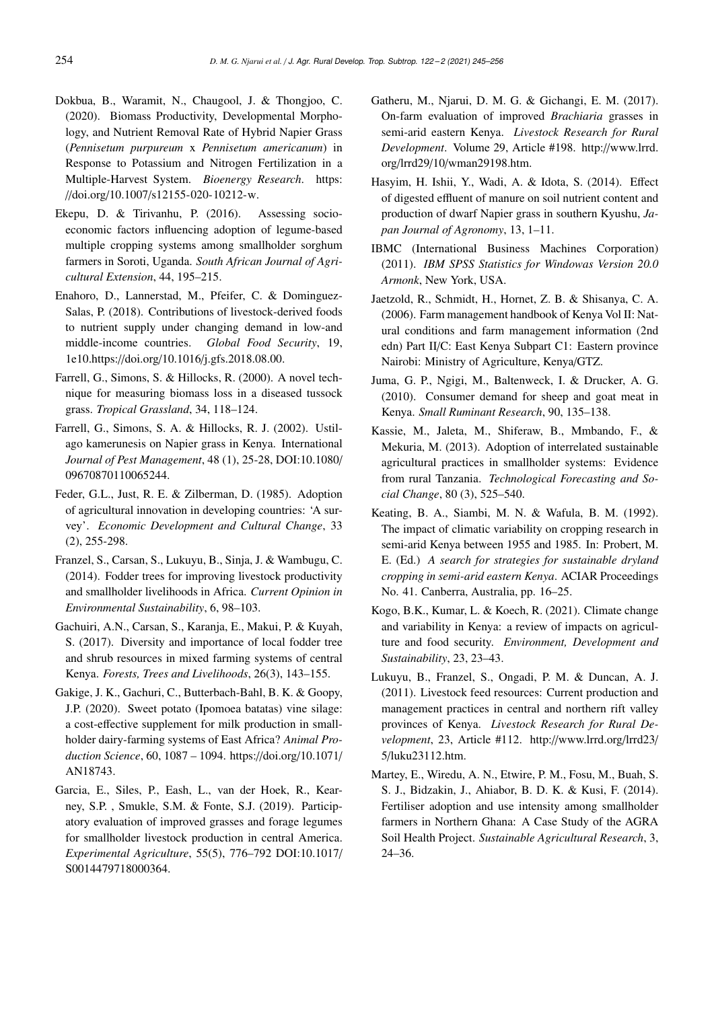- Dokbua, B., Waramit, N., Chaugool, J. & Thongjoo, C. (2020). Biomass Productivity, Developmental Morphology, and Nutrient Removal Rate of Hybrid Napier Grass (*Pennisetum purpureum* x *Pennisetum americanum*) in Response to Potassium and Nitrogen Fertilization in a Multiple-Harvest System. *Bioenergy Research*. https: //doi.org/10.1007/s12155-020-10212-w.
- Ekepu, D. & Tirivanhu, P. (2016). Assessing socioeconomic factors influencing adoption of legume-based multiple cropping systems among smallholder sorghum farmers in Soroti, Uganda. *South African Journal of Agricultural Extension*, 44, 195–215.
- Enahoro, D., Lannerstad, M., Pfeifer, C. & Dominguez-Salas, P. (2018). Contributions of livestock-derived foods to nutrient supply under changing demand in low-and middle-income countries. *Global Food Security*, 19, 1e10.https://doi.org/10.1016/j.gfs.2018.08.00.
- Farrell, G., Simons, S. & Hillocks, R. (2000). A novel technique for measuring biomass loss in a diseased tussock grass. *Tropical Grassland*, 34, 118–124.
- Farrell, G., Simons, S. A. & Hillocks, R. J. (2002). Ustilago kamerunesis on Napier grass in Kenya. International *Journal of Pest Management*, 48 (1), 25-28, DOI:10.1080/ 09670870110065244.
- Feder, G.L., Just, R. E. & Zilberman, D. (1985). Adoption of agricultural innovation in developing countries: 'A survey'. *Economic Development and Cultural Change*, 33 (2), 255-298.
- Franzel, S., Carsan, S., Lukuyu, B., Sinja, J. & Wambugu, C. (2014). Fodder trees for improving livestock productivity and smallholder livelihoods in Africa. *Current Opinion in Environmental Sustainability*, 6, 98–103.
- Gachuiri, A.N., Carsan, S., Karanja, E., Makui, P. & Kuyah, S. (2017). Diversity and importance of local fodder tree and shrub resources in mixed farming systems of central Kenya. *Forests, Trees and Livelihoods*, 26(3), 143–155.
- Gakige, J. K., Gachuri, C., Butterbach-Bahl, B. K. & Goopy, J.P. (2020). Sweet potato (Ipomoea batatas) vine silage: a cost-effective supplement for milk production in smallholder dairy-farming systems of East Africa? *Animal Production Science*, 60, 1087 – 1094. https://doi.org/10.1071/ AN18743.
- Garcia, E., Siles, P., Eash, L., van der Hoek, R., Kearney, S.P. , Smukle, S.M. & Fonte, S.J. (2019). Participatory evaluation of improved grasses and forage legumes for smallholder livestock production in central America. *Experimental Agriculture*, 55(5), 776–792 DOI:10.1017/ S0014479718000364.
- Gatheru, M., Njarui, D. M. G. & Gichangi, E. M. (2017). On-farm evaluation of improved *Brachiaria* grasses in semi-arid eastern Kenya. *Livestock Research for Rural Development*. Volume 29, Article #198. http://www.lrrd. org/lrrd29/10/wman29198.htm.
- Hasyim, H. Ishii, Y., Wadi, A. & Idota, S. (2014). Effect of digested effluent of manure on soil nutrient content and production of dwarf Napier grass in southern Kyushu, *Japan Journal of Agronomy*, 13, 1–11.
- IBMC (International Business Machines Corporation) (2011). *IBM SPSS Statistics for Windowas Version 20.0 Armonk*, New York, USA.
- Jaetzold, R., Schmidt, H., Hornet, Z. B. & Shisanya, C. A. (2006). Farm management handbook of Kenya Vol II: Natural conditions and farm management information (2nd edn) Part II/C: East Kenya Subpart C1: Eastern province Nairobi: Ministry of Agriculture, Kenya/GTZ.
- Juma, G. P., Ngigi, M., Baltenweck, I. & Drucker, A. G. (2010). Consumer demand for sheep and goat meat in Kenya. *Small Ruminant Research*, 90, 135–138.
- Kassie, M., Jaleta, M., Shiferaw, B., Mmbando, F., & Mekuria, M. (2013). Adoption of interrelated sustainable agricultural practices in smallholder systems: Evidence from rural Tanzania. *Technological Forecasting and Social Change*, 80 (3), 525–540.
- Keating, B. A., Siambi, M. N. & Wafula, B. M. (1992). The impact of climatic variability on cropping research in semi-arid Kenya between 1955 and 1985. In: Probert, M. E. (Ed.) *A search for strategies for sustainable dryland cropping in semi-arid eastern Kenya*. ACIAR Proceedings No. 41. Canberra, Australia, pp. 16–25.
- Kogo, B.K., Kumar, L. & Koech, R. (2021). Climate change and variability in Kenya: a review of impacts on agriculture and food security. *Environment, Development and Sustainability*, 23, 23–43.
- Lukuyu, B., Franzel, S., Ongadi, P. M. & Duncan, A. J. (2011). Livestock feed resources: Current production and management practices in central and northern rift valley provinces of Kenya. *Livestock Research for Rural Development*, 23, Article #112. http://www.lrrd.org/lrrd23/ 5/luku23112.htm.
- Martey, E., Wiredu, A. N., Etwire, P. M., Fosu, M., Buah, S. S. J., Bidzakin, J., Ahiabor, B. D. K. & Kusi, F. (2014). Fertiliser adoption and use intensity among smallholder farmers in Northern Ghana: A Case Study of the AGRA Soil Health Project. *Sustainable Agricultural Research*, 3, 24–36.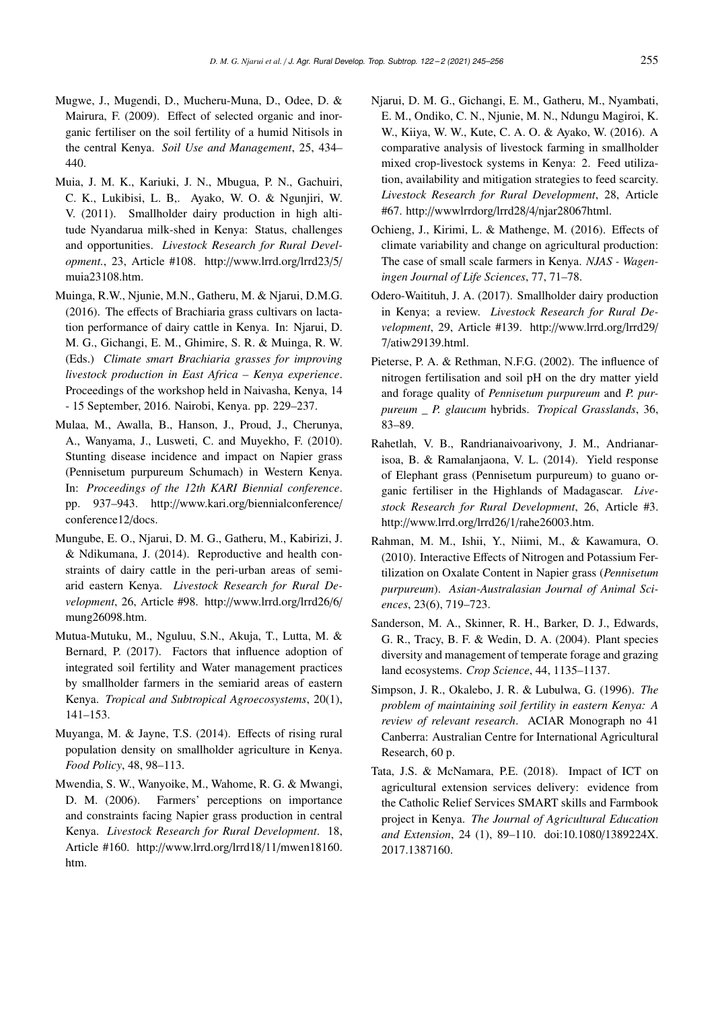- Mugwe, J., Mugendi, D., Mucheru-Muna, D., Odee, D. & Mairura, F. (2009). Effect of selected organic and inorganic fertiliser on the soil fertility of a humid Nitisols in the central Kenya. *Soil Use and Management*, 25, 434– 440.
- Muia, J. M. K., Kariuki, J. N., Mbugua, P. N., Gachuiri, C. K., Lukibisi, L. B,. Ayako, W. O. & Ngunjiri, W. V. (2011). Smallholder dairy production in high altitude Nyandarua milk-shed in Kenya: Status, challenges and opportunities. *Livestock Research for Rural Development.*, 23, Article #108. http://www.lrrd.org/lrrd23/5/ muia23108.htm.
- Muinga, R.W., Njunie, M.N., Gatheru, M. & Njarui, D.M.G. (2016). The effects of Brachiaria grass cultivars on lactation performance of dairy cattle in Kenya. In: Njarui, D. M. G., Gichangi, E. M., Ghimire, S. R. & Muinga, R. W. (Eds.) *Climate smart Brachiaria grasses for improving livestock production in East Africa – Kenya experience*. Proceedings of the workshop held in Naivasha, Kenya, 14 - 15 September, 2016. Nairobi, Kenya. pp. 229–237.
- Mulaa, M., Awalla, B., Hanson, J., Proud, J., Cherunya, A., Wanyama, J., Lusweti, C. and Muyekho, F. (2010). Stunting disease incidence and impact on Napier grass (Pennisetum purpureum Schumach) in Western Kenya. In: *Proceedings of the 12th KARI Biennial conference*. pp. 937–943. http://www.kari.org/biennialconference/ conference12/docs.
- Mungube, E. O., Njarui, D. M. G., Gatheru, M., Kabirizi, J. & Ndikumana, J. (2014). Reproductive and health constraints of dairy cattle in the peri-urban areas of semiarid eastern Kenya. *Livestock Research for Rural Development*, 26, Article #98. http://www.lrrd.org/lrrd26/6/ mung26098.htm.
- Mutua-Mutuku, M., Nguluu, S.N., Akuja, T., Lutta, M. & Bernard, P. (2017). Factors that influence adoption of integrated soil fertility and Water management practices by smallholder farmers in the semiarid areas of eastern Kenya. *Tropical and Subtropical Agroecosystems*, 20(1), 141–153.
- Muyanga, M. & Jayne, T.S. (2014). Effects of rising rural population density on smallholder agriculture in Kenya. *Food Policy*, 48, 98–113.
- Mwendia, S. W., Wanyoike, M., Wahome, R. G. & Mwangi, D. M. (2006). Farmers' perceptions on importance and constraints facing Napier grass production in central Kenya. *Livestock Research for Rural Development*. 18, Article #160. http://www.lrrd.org/lrrd18/11/mwen18160. htm.
- Njarui, D. M. G., Gichangi, E. M., Gatheru, M., Nyambati, E. M., Ondiko, C. N., Njunie, M. N., Ndungu Magiroi, K. W., Kiiya, W. W., Kute, C. A. O. & Ayako, W. (2016). A comparative analysis of livestock farming in smallholder mixed crop-livestock systems in Kenya: 2. Feed utilization, availability and mitigation strategies to feed scarcity. *Livestock Research for Rural Development*, 28, Article #67. http://wwwlrrdorg/lrrd28/4/njar28067html.
- Ochieng, J., Kirimi, L. & Mathenge, M. (2016). Effects of climate variability and change on agricultural production: The case of small scale farmers in Kenya. *NJAS - Wageningen Journal of Life Sciences*, 77, 71–78.
- Odero-Waitituh, J. A. (2017). Smallholder dairy production in Kenya; a review. *Livestock Research for Rural Development*, 29, Article #139. http://www.lrrd.org/lrrd29/ 7/atiw29139.html.
- Pieterse, P. A. & Rethman, N.F.G. (2002). The influence of nitrogen fertilisation and soil pH on the dry matter yield and forage quality of *Pennisetum purpureum* and *P. purpureum \_ P. glaucum* hybrids. *Tropical Grasslands*, 36, 83–89.
- Rahetlah, V. B., Randrianaivoarivony, J. M., Andrianarisoa, B. & Ramalanjaona, V. L. (2014). Yield response of Elephant grass (Pennisetum purpureum) to guano organic fertiliser in the Highlands of Madagascar. *Livestock Research for Rural Development*, 26, Article #3. http://www.lrrd.org/lrrd26/1/rahe26003.htm.
- Rahman, M. M., Ishii, Y., Niimi, M., & Kawamura, O. (2010). Interactive Effects of Nitrogen and Potassium Fertilization on Oxalate Content in Napier grass (*Pennisetum purpureum*). *Asian-Australasian Journal of Animal Sciences*, 23(6), 719–723.
- Sanderson, M. A., Skinner, R. H., Barker, D. J., Edwards, G. R., Tracy, B. F. & Wedin, D. A. (2004). Plant species diversity and management of temperate forage and grazing land ecosystems. *Crop Science*, 44, 1135–1137.
- Simpson, J. R., Okalebo, J. R. & Lubulwa, G. (1996). *The problem of maintaining soil fertility in eastern Kenya: A review of relevant research*. ACIAR Monograph no 41 Canberra: Australian Centre for International Agricultural Research, 60 p.
- Tata, J.S. & McNamara, P.E. (2018). Impact of ICT on agricultural extension services delivery: evidence from the Catholic Relief Services SMART skills and Farmbook project in Kenya. *The Journal of Agricultural Education and Extension*, 24 (1), 89–110. doi:10.1080/1389224X. 2017.1387160.